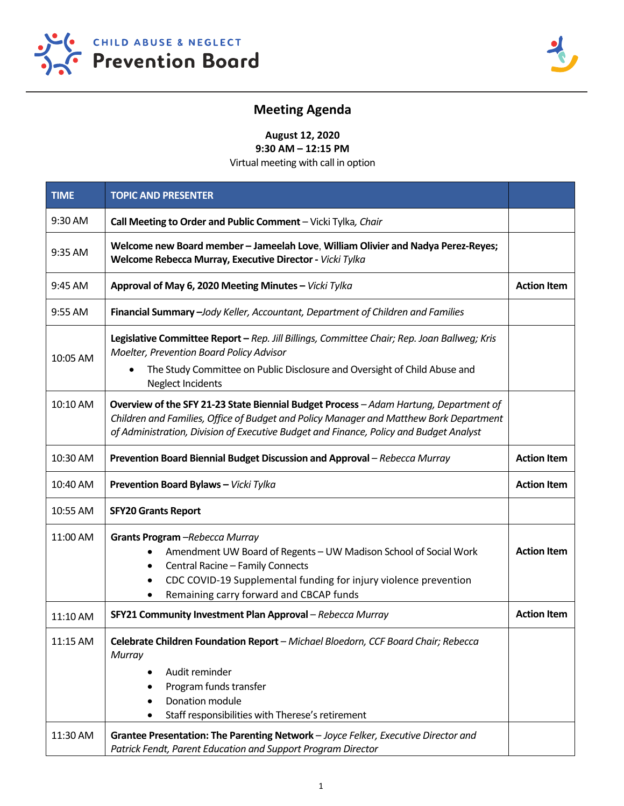



# **Meeting Agenda**

**August 12, 2020** 

**9:30 AM – 12:15 PM**  Virtual meeting with call in option

| <b>TIME</b> | <b>TOPIC AND PRESENTER</b>                                                                                                                                                                                                                                                |                    |
|-------------|---------------------------------------------------------------------------------------------------------------------------------------------------------------------------------------------------------------------------------------------------------------------------|--------------------|
| 9:30 AM     | Call Meeting to Order and Public Comment - Vicki Tylka, Chair                                                                                                                                                                                                             |                    |
| 9:35 AM     | Welcome new Board member - Jameelah Love, William Olivier and Nadya Perez-Reyes;<br>Welcome Rebecca Murray, Executive Director - Vicki Tylka                                                                                                                              |                    |
| 9:45 AM     | Approval of May 6, 2020 Meeting Minutes - Vicki Tylka                                                                                                                                                                                                                     | <b>Action Item</b> |
| 9:55 AM     | Financial Summary -Jody Keller, Accountant, Department of Children and Families                                                                                                                                                                                           |                    |
| 10:05 AM    | Legislative Committee Report - Rep. Jill Billings, Committee Chair; Rep. Joan Ballweg; Kris<br>Moelter, Prevention Board Policy Advisor                                                                                                                                   |                    |
|             | The Study Committee on Public Disclosure and Oversight of Child Abuse and<br><b>Neglect Incidents</b>                                                                                                                                                                     |                    |
| 10:10 AM    | Overview of the SFY 21-23 State Biennial Budget Process - Adam Hartung, Department of<br>Children and Families, Office of Budget and Policy Manager and Matthew Bork Department<br>of Administration, Division of Executive Budget and Finance, Policy and Budget Analyst |                    |
| 10:30 AM    | Prevention Board Biennial Budget Discussion and Approval - Rebecca Murray                                                                                                                                                                                                 | <b>Action Item</b> |
| 10:40 AM    | Prevention Board Bylaws - Vicki Tylka                                                                                                                                                                                                                                     | <b>Action Item</b> |
| 10:55 AM    | <b>SFY20 Grants Report</b>                                                                                                                                                                                                                                                |                    |
| 11:00 AM    | Grants Program -Rebecca Murray<br>Amendment UW Board of Regents - UW Madison School of Social Work<br>Central Racine - Family Connects<br>CDC COVID-19 Supplemental funding for injury violence prevention<br>Remaining carry forward and CBCAP funds                     | <b>Action Item</b> |
| 11:10 AM    | SFY21 Community Investment Plan Approval - Rebecca Murray                                                                                                                                                                                                                 | <b>Action Item</b> |
| 11:15 AM    | Celebrate Children Foundation Report - Michael Bloedorn, CCF Board Chair; Rebecca<br>Murray<br>Audit reminder<br>Program funds transfer<br>Donation module<br>Staff responsibilities with Therese's retirement                                                            |                    |
| 11:30 AM    | Grantee Presentation: The Parenting Network - Joyce Felker, Executive Director and<br>Patrick Fendt, Parent Education and Support Program Director                                                                                                                        |                    |